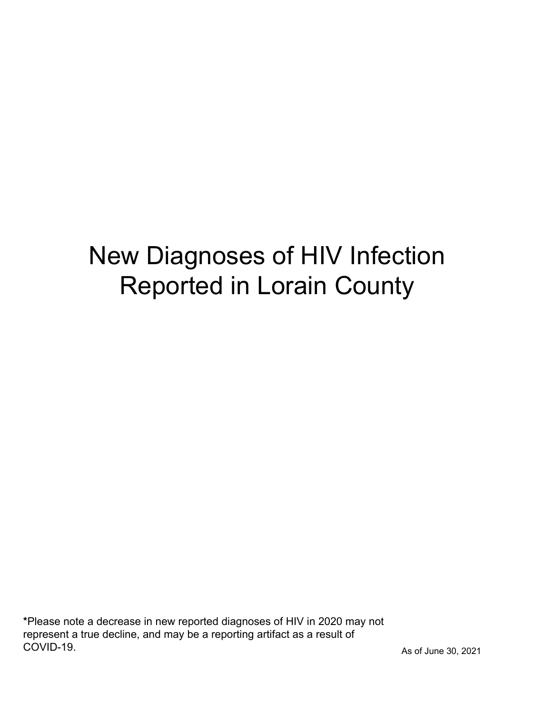# New Diagnoses of HIV Infection Reported in Lorain County

\*Please note a decrease in new reported diagnoses of HIV in 2020 may not represent a true decline, and may be a reporting artifact as a result of COVID-19.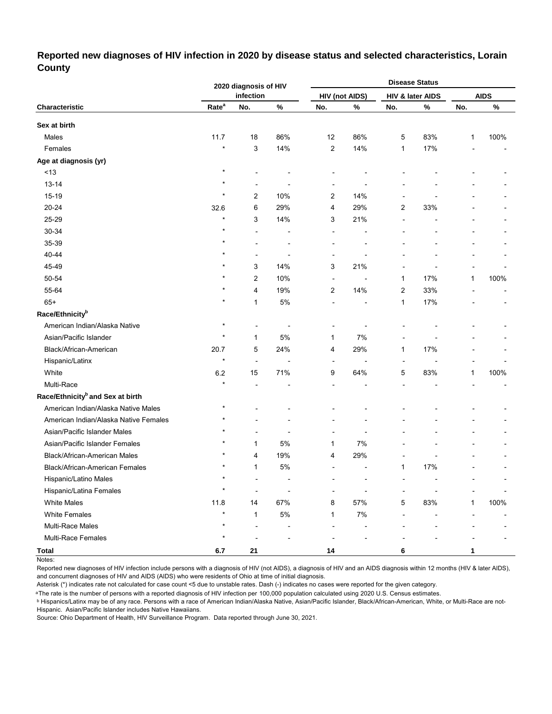### **Reported new diagnoses of HIV infection in 2020 by disease status and selected characteristics, Lorain County**

|                                              |                   | 2020 diagnosis of HIV |      |                |                       |                | <b>Disease Status</b> |              |             |
|----------------------------------------------|-------------------|-----------------------|------|----------------|-----------------------|----------------|-----------------------|--------------|-------------|
|                                              |                   | infection             |      |                | <b>HIV (not AIDS)</b> |                | HIV & later AIDS      |              | <b>AIDS</b> |
| Characteristic                               | Rate <sup>a</sup> | No.                   | $\%$ | No.            | $\%$                  | No.            | $\%$                  | No.          | $\%$        |
| Sex at birth                                 |                   |                       |      |                |                       |                |                       |              |             |
| Males                                        | 11.7              | 18                    | 86%  | 12             | 86%                   | 5              | 83%                   | $\mathbf{1}$ | 100%        |
| Females                                      | $\star$           | 3                     | 14%  | 2              | 14%                   | $\mathbf{1}$   | 17%                   |              |             |
| Age at diagnosis (yr)                        |                   |                       |      |                |                       |                |                       |              |             |
| $<13$                                        | $\star$           |                       |      |                |                       |                |                       |              |             |
| $13 - 14$                                    | $\star$           | ä,                    |      | ÷              |                       |                |                       |              |             |
| 15-19                                        | $\star$           | 2                     | 10%  | 2              | 14%                   |                |                       |              |             |
| 20-24                                        | 32.6              | 6                     | 29%  | 4              | 29%                   | $\overline{2}$ | 33%                   |              |             |
| 25-29                                        | $\star$           | 3                     | 14%  | 3              | 21%                   | ÷,             |                       |              |             |
| 30-34                                        |                   | L,                    |      | Ē,             |                       |                |                       |              |             |
| 35-39                                        |                   |                       |      |                |                       |                |                       |              |             |
| 40-44                                        |                   | ä,                    | ٠    | ÷              |                       |                |                       |              |             |
| 45-49                                        |                   | 3                     | 14%  | 3              | 21%                   |                |                       |              |             |
| 50-54                                        |                   | 2                     | 10%  | ٠              |                       | 1              | 17%                   | 1            | 100%        |
| 55-64                                        |                   | 4                     | 19%  | 2              | 14%                   | 2              | 33%                   |              |             |
| $65+$                                        |                   | $\mathbf{1}$          | 5%   | Ē,             | $\blacksquare$        | $\mathbf{1}$   | 17%                   |              |             |
| Race/Ethnicity <sup>b</sup>                  |                   |                       |      |                |                       |                |                       |              |             |
| American Indian/Alaska Native                | $\star$           | ÷                     |      | ۰              |                       |                |                       |              |             |
| Asian/Pacific Islander                       | $\star$           | $\mathbf{1}$          | 5%   | 1              | 7%                    |                |                       |              |             |
| Black/African-American                       | 20.7              | 5                     | 24%  | 4              | 29%                   | 1              | 17%                   |              |             |
| Hispanic/Latinx                              | $\star$           | Ĭ.                    | ÷    | Ē,             | ÷                     |                |                       |              |             |
| White                                        | 6.2               | 15                    | 71%  | 9              | 64%                   | 5              | 83%                   | 1            | 100%        |
| Multi-Race                                   |                   |                       |      |                |                       |                |                       |              |             |
| Race/Ethnicity <sup>b</sup> and Sex at birth |                   |                       |      |                |                       |                |                       |              |             |
| American Indian/Alaska Native Males          | $\star$           |                       |      |                |                       |                |                       |              |             |
| American Indian/Alaska Native Females        |                   |                       |      |                |                       |                |                       |              |             |
| Asian/Pacific Islander Males                 |                   |                       |      |                | $\blacksquare$        |                |                       |              |             |
| Asian/Pacific Islander Females               |                   | 1                     | 5%   | 1              | 7%                    |                |                       |              |             |
| Black/African-American Males                 |                   | 4                     | 19%  | 4              | 29%                   |                |                       |              |             |
| Black/African-American Females               | $\star$           | $\mathbf{1}$          | 5%   | $\overline{a}$ |                       | 1              | 17%                   |              |             |
| Hispanic/Latino Males                        | $\star$           | ٠                     |      |                |                       |                |                       |              |             |
| <b>Hispanic/Latina Females</b>               | $\star$           | ÷                     |      |                |                       |                |                       |              |             |
| <b>White Males</b>                           | 11.8              | 14                    | 67%  | 8              | 57%                   | 5              | 83%                   | $\mathbf{1}$ | 100%        |
| <b>White Females</b>                         | $\star$           | $\mathbf{1}$          | 5%   | 1              | 7%                    |                |                       |              |             |
| Multi-Race Males                             | $\star$           |                       |      |                |                       |                |                       |              |             |
| Multi-Race Females                           | $\star$           |                       |      |                |                       |                |                       |              |             |
| <b>Total</b>                                 | 6.7               | 21                    |      | 14             |                       | 6              |                       | 1            |             |

Notes:

Reported new diagnoses of HIV infection include persons with a diagnosis of HIV (not AIDS), a diagnosis of HIV and an AIDS diagnosis within 12 months (HIV & later AIDS), and concurrent diagnoses of HIV and AIDS (AIDS) who were residents of Ohio at time of initial diagnosis.

Asterisk (\*) indicates rate not calculated for case count <5 due to unstable rates. Dash (-) indicates no cases were reported for the given category.

<sup>a</sup>The rate is the number of persons with a reported diagnosis of HIV infection per 100,000 population calculated using 2020 U.S. Census estimates.

ᵇ Hispanics/Latinx may be of any race. Persons with a race of American Indian/Alaska Native, Asian/Pacific Islander, Black/African-American, White, or Multi-Race are not-Hispanic. Asian/Pacific Islander includes Native Hawaiians.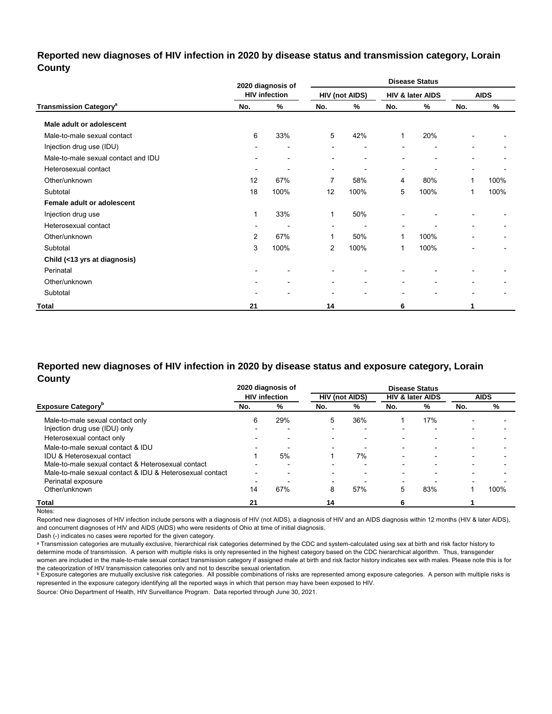## **Reported new diagnoses of HIV infection in 2020 by disease status and transmission category, Lorain County**

|                                          |                          | 2020 diagnosis of        |                |                       |                          | <b>Disease Status</b> |                |             |
|------------------------------------------|--------------------------|--------------------------|----------------|-----------------------|--------------------------|-----------------------|----------------|-------------|
|                                          |                          | <b>HIV infection</b>     |                | <b>HIV (not AIDS)</b> |                          | HIV & later AIDS      |                | <b>AIDS</b> |
| <b>Transmission Category<sup>a</sup></b> | No.                      | %                        | No.            | %                     | No.                      | %                     | No.            | %           |
| Male adult or adolescent                 |                          |                          |                |                       |                          |                       |                |             |
| Male-to-male sexual contact              | 6                        | 33%                      | 5              | 42%                   | 1                        | 20%                   |                |             |
| Injection drug use (IDU)                 |                          | $\overline{\phantom{0}}$ |                | ٠                     |                          | ٠                     |                |             |
| Male-to-male sexual contact and IDU      | $\overline{\phantom{0}}$ | $\overline{\phantom{a}}$ | $\blacksquare$ | ٠                     |                          | ۰                     | $\blacksquare$ |             |
| Heterosexual contact                     | $\blacksquare$           |                          | $\blacksquare$ | ٠                     | $\overline{\phantom{a}}$ | ۰                     |                |             |
| Other/unknown                            | 12                       | 67%                      | 7              | 58%                   | 4                        | 80%                   | $\mathbf{1}$   | 100%        |
| Subtotal                                 | 18                       | 100%                     | 12             | 100%                  | 5                        | 100%                  | 1              | 100%        |
| Female adult or adolescent               |                          |                          |                |                       |                          |                       |                |             |
| Injection drug use                       | 1                        | 33%                      | 1              | 50%                   |                          |                       |                |             |
| Heterosexual contact                     | ۰                        |                          | $\blacksquare$ | $\blacksquare$        | $\overline{\phantom{a}}$ |                       |                |             |
| Other/unknown                            | 2                        | 67%                      | 1              | 50%                   | 1                        | 100%                  |                |             |
| Subtotal                                 | 3                        | 100%                     | $\overline{2}$ | 100%                  | 1                        | 100%                  |                | ٠           |
| Child (<13 yrs at diagnosis)             |                          |                          |                |                       |                          |                       |                |             |
| Perinatal                                |                          |                          |                |                       |                          |                       |                |             |
| Other/unknown                            |                          |                          | ٠              | $\blacksquare$        | $\overline{\phantom{a}}$ | ۰                     |                |             |
| Subtotal                                 |                          |                          | ٠              | ٠                     | $\overline{\phantom{0}}$ | ۰                     |                |             |
| <b>Total</b>                             | 21                       |                          | 14             |                       | 6                        |                       |                |             |

## **Reported new diagnoses of HIV infection in 2020 by disease status and exposure category, Lorain County**

|                                                          |                          | 2020 diagnosis of        |     |                          | <b>Disease Status</b>    |                             |                          |             |
|----------------------------------------------------------|--------------------------|--------------------------|-----|--------------------------|--------------------------|-----------------------------|--------------------------|-------------|
|                                                          |                          | <b>HIV</b> infection     |     | <b>HIV (not AIDS)</b>    |                          | <b>HIV &amp; later AIDS</b> |                          | <b>AIDS</b> |
| <b>Exposure Category</b> "                               | No.                      | %                        | No. | %                        | No.                      | %                           | No.                      | %           |
| Male-to-male sexual contact only                         | 6                        | 29%                      | 5   | 36%                      |                          | 17%                         |                          |             |
| Injection drug use (IDU) only                            |                          |                          |     |                          | $\overline{\phantom{0}}$ | $\overline{\phantom{0}}$    |                          |             |
| Heterosexual contact only                                |                          | ۰                        |     | $\blacksquare$           |                          | $\overline{\phantom{0}}$    |                          |             |
| Male-to-male sexual contact & IDU                        | $\overline{\phantom{a}}$ |                          |     |                          | -                        | $\overline{\phantom{0}}$    | $\overline{\phantom{0}}$ |             |
| IDU & Heterosexual contact                               |                          | 5%                       |     | 7%                       |                          |                             |                          |             |
| Male-to-male sexual contact & Heterosexual contact       |                          | $\overline{\phantom{0}}$ |     | $\overline{\phantom{0}}$ | -                        | $\overline{\phantom{0}}$    | $\overline{\phantom{a}}$ |             |
| Male-to-male sexual contact & IDU & Heterosexual contact | $\overline{\phantom{0}}$ | $\overline{\phantom{0}}$ |     | -                        | $\overline{\phantom{0}}$ | $\overline{\phantom{0}}$    |                          |             |
| Perinatal exposure                                       | -                        |                          |     |                          | $\overline{\phantom{0}}$ |                             |                          |             |
| Other/unknown                                            | 14                       | 67%                      | 8   | 57%                      | 5                        | 83%                         |                          | 100%        |
| <b>Total</b>                                             | 21                       |                          | 14  |                          |                          |                             |                          |             |

Notes:

Reported new diagnoses of HIV infection include persons with a diagnosis of HIV (not AIDS), a diagnosis of HIV and an AIDS diagnosis within 12 months (HIV & later AIDS), and concurrent diagnoses of HIV and AIDS (AIDS) who were residents of Ohio at time of initial diagnosis.

Dash (-) indicates no cases were reported for the given category.

a Transmission categories are mutually exclusive, hierarchical risk categories determined by the CDC and system-calculated using sex at birth and risk factor history to determine mode of transmission. A person with multiple risks is only represented in the highest category based on the CDC hierarchical algorithm. Thus, transgender women are included in the male-to-male sexual contact transmission category if assigned male at birth and risk factor history indicates sex with males. Please note this is for

the cateqorization of HIV transmission cateqories only and not to describe sexual orientation.<br>▷ Exposure categories are mutually exclusive risk categories. All possible combinations of risks are represented among exposu represented in the exposure category identifying all the reported ways in which that person may have been exposed to HIV.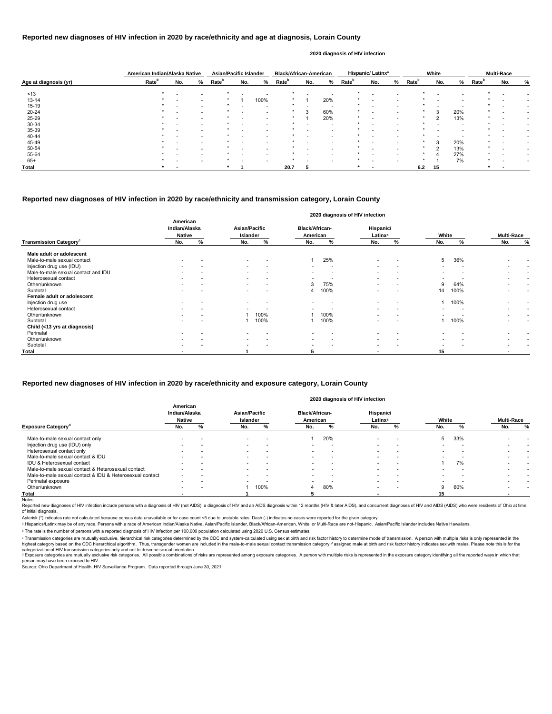|                       | American Indian/Alaska Native |     |                          | <b>Asian/Pacific Islander</b> |                          |      | <b>Black/African-American</b> |        |                          |                   | Hispanic/Latinx <sup>a</sup> |   |                   | White  |     |                          | <b>Multi-Race</b> |   |
|-----------------------|-------------------------------|-----|--------------------------|-------------------------------|--------------------------|------|-------------------------------|--------|--------------------------|-------------------|------------------------------|---|-------------------|--------|-----|--------------------------|-------------------|---|
| Age at diagnosis (yr) | Rate <sup>b</sup>             | No. | %                        | Rate <sup>b</sup>             | No.                      | %    | Rate <sup>b</sup>             | No.    | %                        | Rate <sup>b</sup> | No.                          | % | Rate <sup>b</sup> | No.    | %   | <b>Rate</b> <sup>b</sup> | No.               | % |
| ~13                   |                               |     |                          |                               |                          |      |                               |        |                          |                   |                              |   |                   |        |     |                          |                   |   |
| $13 - 14$             |                               |     | $\overline{\phantom{0}}$ |                               |                          | 100% |                               |        | 20%                      |                   |                              |   |                   |        |     |                          |                   |   |
| 15-19                 |                               |     | $\overline{\phantom{0}}$ |                               | $\overline{\phantom{0}}$ |      |                               |        | $\overline{\phantom{a}}$ |                   | $\overline{\phantom{0}}$     |   |                   |        |     |                          |                   |   |
| 20-24                 |                               |     | $\overline{\phantom{0}}$ |                               |                          |      |                               | $\sim$ | 60%                      |                   |                              |   |                   | 3      | 20% |                          |                   |   |
| 25-29                 |                               |     | $\overline{\phantom{a}}$ |                               | $\overline{\phantom{0}}$ |      | $\star$                       |        | 20%                      | $\star$           |                              |   | $\star$           | ົ      | 13% |                          |                   |   |
| 30-34                 |                               |     | $\overline{\phantom{a}}$ |                               |                          |      |                               |        |                          |                   |                              |   |                   |        |     |                          |                   |   |
| 35-39                 |                               |     | $\overline{\phantom{0}}$ |                               | $\overline{\phantom{0}}$ |      |                               |        | $\overline{\phantom{0}}$ |                   |                              |   |                   |        |     |                          |                   |   |
| 40-44                 |                               |     | $\overline{\phantom{0}}$ |                               | $\overline{\phantom{0}}$ |      |                               |        | $\overline{\phantom{0}}$ |                   |                              |   |                   |        |     |                          |                   |   |
| 45-49                 |                               |     |                          |                               |                          |      |                               |        |                          |                   |                              |   |                   | 3      | 20% |                          |                   |   |
| 50-54                 |                               |     |                          |                               |                          |      |                               |        |                          |                   |                              |   |                   | $\sim$ | 13% |                          |                   |   |
| 55-64                 |                               |     | $\overline{\phantom{a}}$ |                               | $\overline{\phantom{0}}$ |      |                               |        |                          |                   |                              |   | $\star$           |        | 27% |                          |                   |   |
| $65+$                 |                               |     |                          |                               |                          |      |                               |        |                          |                   |                              |   | $\star$           |        | 7%  |                          |                   |   |
| <b>Total</b>          |                               |     |                          |                               |                          |      | 20.7                          |        |                          |                   |                              |   | 6.2               | 15     |     |                          |                   |   |

Reported new diagnoses of HIV infection include persons with a diagnosis of HIV (not AIDS), a diagnosis of HIV and an AIDS diagnosis within 12 months (HIV & later AIDS), and concurrent diagnoses of HIV and AIDS (AIDS) who of initial diagnosis.

|                                           |                                            |                          |                                  |                          |                                   |                          | 2020 diagnosis of HIV infection  |                          |                          |      |                          |                          |
|-------------------------------------------|--------------------------------------------|--------------------------|----------------------------------|--------------------------|-----------------------------------|--------------------------|----------------------------------|--------------------------|--------------------------|------|--------------------------|--------------------------|
|                                           | American<br>Indian/Alaska<br><b>Native</b> |                          | <b>Asian/Pacific</b><br>Islander |                          | <b>Black/African-</b><br>American |                          | Hispanic/<br>Latinx <sup>a</sup> |                          | White                    |      | <b>Multi-Race</b>        |                          |
| <b>Transmission Category</b> <sup>c</sup> | No.                                        | %                        | No.                              | %                        | No.                               | %                        | No.                              | %                        | No.                      | %    | No.                      | $\%$                     |
| Male adult or adolescent                  |                                            |                          |                                  |                          |                                   |                          |                                  |                          |                          |      |                          |                          |
| Male-to-male sexual contact               |                                            |                          | $\overline{\phantom{0}}$         |                          |                                   | 25%                      | $\overline{\phantom{0}}$         | $\overline{\phantom{a}}$ | 5                        | 36%  |                          |                          |
| Injection drug use (IDU)                  |                                            |                          | $\sim$                           |                          | $\overline{\phantom{0}}$          | $\overline{\phantom{a}}$ | $\overline{\phantom{a}}$         | $\overline{\phantom{0}}$ |                          |      |                          |                          |
| Male-to-male sexual contact and IDU       |                                            |                          | $\sim$                           | $\overline{\phantom{0}}$ | $\overline{\phantom{a}}$          |                          | $\overline{\phantom{a}}$         | $\overline{\phantom{0}}$ |                          |      |                          |                          |
| Heterosexual contact                      |                                            |                          | $\sim$                           | $\overline{\phantom{0}}$ | $\overline{\phantom{a}}$          | . .                      | $\overline{\phantom{a}}$         |                          |                          |      | $\overline{\phantom{0}}$ | $\overline{\phantom{a}}$ |
| Other/unknown                             | $\overline{\phantom{0}}$                   |                          | $\sim$                           | $\overline{\phantom{a}}$ | 3                                 | 75%                      | $\overline{\phantom{a}}$         | $\overline{\phantom{0}}$ | 9                        | 64%  |                          | $\overline{\phantom{0}}$ |
| Subtotal                                  |                                            |                          |                                  |                          | 4                                 | 100%                     |                                  |                          | 14                       | 100% |                          |                          |
| Female adult or adolescent                |                                            |                          |                                  |                          |                                   |                          |                                  |                          |                          |      |                          |                          |
| Injection drug use                        |                                            |                          |                                  |                          |                                   |                          | $\overline{\phantom{0}}$         |                          |                          | 100% |                          |                          |
| Heterosexual contact                      |                                            |                          |                                  |                          |                                   |                          |                                  | $\overline{\phantom{0}}$ |                          |      |                          | $\overline{\phantom{a}}$ |
| Other/unknown                             |                                            | $\overline{\phantom{a}}$ |                                  | 100%                     |                                   | 100%                     | $\overline{\phantom{0}}$         | $\overline{\phantom{0}}$ | $\overline{\phantom{0}}$ |      | $\overline{\phantom{0}}$ | $\overline{\phantom{a}}$ |
| Subtotal                                  |                                            |                          |                                  | 100%                     |                                   | 100%                     |                                  |                          |                          | 100% |                          |                          |
| Child (<13 yrs at diagnosis)              |                                            |                          |                                  |                          |                                   |                          |                                  |                          |                          |      |                          |                          |
| Perinatal                                 |                                            |                          |                                  |                          |                                   |                          |                                  |                          |                          |      |                          |                          |
| Other/unknown                             |                                            |                          | $\sim$                           |                          |                                   | $\overline{\phantom{0}}$ | $\overline{\phantom{0}}$         | $\overline{\phantom{0}}$ |                          |      |                          |                          |
| Subtotal                                  |                                            |                          | $\overline{\phantom{0}}$         |                          | $\overline{\phantom{0}}$          |                          | $\overline{\phantom{a}}$         |                          |                          |      |                          |                          |
| Total                                     |                                            |                          |                                  |                          |                                   |                          |                                  |                          | 15                       |      | $\blacksquare$           |                          |

© Transmission categories are mutually exclusive, hierarchical risk categories determined by the CDC and system-calculated using sex at birth and risk factor history to determine mode of transmission. A person with multip highest category based on the CDC hierarchical algorithm. Thus, transgender women are included in the male-to-male sexual contact transmission category if assigned male at birth and risk factor history indicates sex with m categorization of HIV transmission categories only and not to describe sexual orientation.

#### **Reported new diagnoses of HIV infection in 2020 by race/ethnicity and age at diagnosis, Lorain County**

<sup>d</sup> Exposure categories are mutually exclusive risk categories. All possible combinations of risks are represented among exposure categories. A person with multiple risks is represented in the exposure category identifyin person may have been exposed to HIV.

Source: Ohio Department of Health, HIV Surveillance Program. Data reported through June 30, 2021.

#### **2020 diagnosis of HIV infection**

#### **Reported new diagnoses of HIV infection in 2020 by race/ethnicity and transmission category, Lorain County**

|                                                          | American<br>Indian/Alaska<br><b>Native</b> |                          | <b>Asian/Pacific</b><br><b>Islander</b> |                          | <b>Black/African-</b><br>American |     | Hispanic/<br>Latinx <sup>a</sup> |                          | White                    |     | <b>Multi-Race</b> |   |
|----------------------------------------------------------|--------------------------------------------|--------------------------|-----------------------------------------|--------------------------|-----------------------------------|-----|----------------------------------|--------------------------|--------------------------|-----|-------------------|---|
| <b>Exposure Category<sup>ª</sup></b>                     | No.                                        | ℅                        | No.                                     | ℅                        | No.                               |     | No.                              |                          | No.                      |     | No.               | % |
| Male-to-male sexual contact only                         |                                            |                          | $\sim$                                  | $\overline{\phantom{0}}$ |                                   | 20% | $\overline{\phantom{0}}$         |                          | 5 <sup>1</sup>           | 33% |                   |   |
| Injection drug use (IDU) only                            |                                            |                          | $\overline{\phantom{0}}$                | $\overline{\phantom{0}}$ |                                   |     |                                  | $\overline{\phantom{0}}$ |                          |     |                   |   |
| Heterosexual contact only                                | -                                          |                          | $\overline{\phantom{0}}$                | $\overline{\phantom{a}}$ |                                   |     | $\overline{\phantom{0}}$         | $\overline{\phantom{0}}$ | $\overline{\phantom{a}}$ |     |                   |   |
| Male-to-male sexual contact & IDU                        | $\overline{\phantom{0}}$                   |                          | $\overline{\phantom{0}}$                | $\overline{\phantom{a}}$ |                                   |     | $\overline{\phantom{0}}$         |                          |                          |     |                   |   |
| IDU & Heterosexual contact                               | $\overline{\phantom{0}}$                   |                          | $\overline{\phantom{0}}$                | $\overline{\phantom{a}}$ |                                   |     |                                  |                          |                          | 7%  |                   |   |
| Male-to-male sexual contact & Heterosexual contact       | $\overline{\phantom{0}}$                   |                          | $\overline{\phantom{0}}$                | $\overline{\phantom{a}}$ |                                   |     | $\overline{\phantom{0}}$         | $\overline{\phantom{0}}$ |                          |     |                   |   |
| Male-to-male sexual contact & IDU & Heterosexual contact | $\overline{\phantom{a}}$                   |                          | $\sim$                                  | $\overline{\phantom{0}}$ |                                   |     |                                  |                          |                          |     |                   |   |
| Perinatal exposure                                       | $\overline{\phantom{0}}$                   |                          |                                         |                          |                                   |     |                                  | $\overline{\phantom{0}}$ |                          |     |                   |   |
| Other/unknown                                            | $\overline{\phantom{0}}$                   | $\overline{\phantom{0}}$ |                                         | 100%                     | 4                                 | 80% | $\overline{\phantom{0}}$         | $\overline{\phantom{a}}$ | 9                        | 60% |                   |   |
| Total                                                    |                                            |                          |                                         |                          |                                   |     |                                  |                          | 15                       |     |                   |   |
| Notes:                                                   |                                            |                          |                                         |                          |                                   |     |                                  |                          |                          |     |                   |   |

#### **Reported new diagnoses of HIV infection in 2020 by race/ethnicity and exposure category, Lorain County**

#### **2020 diagnosis of HIV infection**

Asterisk (\*) indicates rate not calculated because census data unavailable or for case count <5 due to unstable rates. Dash (-) indicates no cases were reported for the given category.

a Hispanics/Latinx may be of any race. Persons with a race of American Indian/Alaska Native, Asian/Pacific Islander, Black/African-American, White, or Multi-Race are not-Hispanic. Asian/Pacific Islander includes Native Haw

ᵇ The rate is the number of persons with a reported diagnosis of HIV infection per 100,000 population calculated using 2020 U.S. Census estimates.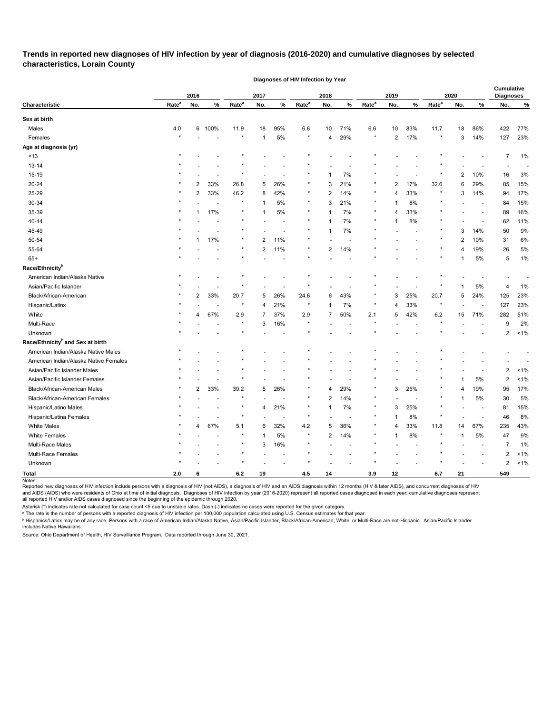**Trends in reported new diagnoses of HIV infection by year of diagnosis (2016-2020) and cumulative diagnoses by selected characteristics, Lorain County** 

|                                              |                   |                |        |                   |                |                          | Diagnoses of HIV Infection by Year |              |     |                   |                |      |                   |              |                          |                         |     |
|----------------------------------------------|-------------------|----------------|--------|-------------------|----------------|--------------------------|------------------------------------|--------------|-----|-------------------|----------------|------|-------------------|--------------|--------------------------|-------------------------|-----|
|                                              |                   |                |        |                   |                |                          |                                    |              |     |                   |                |      |                   |              |                          | Cumulative              |     |
| Characteristic                               | Rate <sup>a</sup> | 2016<br>No.    | %      | Rate <sup>a</sup> | 2017<br>No.    | %                        | Rate <sup>a</sup>                  | 2018<br>No.  | %   | Rate <sup>a</sup> | 2019<br>No.    | $\%$ | Rate <sup>a</sup> | 2020<br>No.  | $\%$                     | <b>Diagnoses</b><br>No. | %   |
|                                              |                   |                |        |                   |                |                          |                                    |              |     |                   |                |      |                   |              |                          |                         |     |
| Sex at birth                                 |                   |                |        |                   |                |                          |                                    |              |     |                   |                |      |                   |              |                          |                         |     |
| Males                                        | 4.0               |                | 6 100% | 11.9              | 18             | 95%                      | 6.6                                | 10           | 71% | 6.6               | 10             | 83%  | 11.7              | 18           | 86%                      | 422                     | 77% |
| Females                                      |                   |                |        | $\star$           | $\mathbf{1}$   | 5%                       | $\star$                            | 4            | 29% | $\star$           | $\overline{2}$ | 17%  | $\star$           | 3            | 14%                      | 127                     | 23% |
| Age at diagnosis (yr)                        |                   |                |        |                   |                |                          |                                    |              |     |                   |                |      |                   |              |                          |                         |     |
| ~13                                          |                   |                |        | $\star$           |                |                          |                                    |              |     |                   |                |      |                   |              |                          | 7                       | 1%  |
| $13 - 14$                                    |                   |                |        |                   |                |                          |                                    |              |     |                   |                |      |                   |              |                          |                         |     |
| 15-19                                        |                   |                |        |                   |                |                          |                                    |              | 7%  |                   |                |      |                   | 2            | 10%                      | 16                      | 3%  |
| 20-24                                        |                   | 2              | 33%    | 26.8              | 5              | 26%                      |                                    | 3            | 21% |                   | $\overline{2}$ | 17%  | 32.6              | 6            | 29%                      | 85                      | 15% |
| 25-29                                        |                   | $\overline{2}$ | 33%    | 46.2              | 8              | 42%                      | $\ast$                             | 2            | 14% |                   | $\overline{4}$ | 33%  |                   | 3            | 14%                      | 94                      | 17% |
| 30-34                                        |                   |                |        | $\star$           | -1             | 5%                       | $\star$                            | 3            | 21% |                   | 1              | 8%   |                   |              | $\overline{a}$           | 84                      | 15% |
| 35-39                                        |                   |                | 17%    | $\star$           |                | 5%                       |                                    |              | 7%  |                   | 4              | 33%  |                   |              | $\overline{\phantom{a}}$ | 89                      | 16% |
| 40-44                                        |                   |                |        | $\star$           |                |                          |                                    | 1            | 7%  |                   | 1              | 8%   |                   |              |                          | 62                      | 11% |
| 45-49                                        |                   |                |        | $\star$           |                |                          |                                    | 1            | 7%  |                   |                |      |                   | 3            | 14%                      | 50                      | 9%  |
| 50-54                                        |                   |                | 17%    | $\star$           | $\overline{2}$ | 11%                      | $\star$                            |              |     |                   |                |      |                   | 2            | 10%                      | 31                      | 6%  |
| 55-64                                        |                   |                |        | $\star$           | $\overline{2}$ | 11%                      | $\star$                            | 2            | 14% |                   |                |      |                   | 4            | 19%                      | 26                      | 5%  |
| $65+$                                        |                   |                |        |                   |                |                          |                                    |              |     |                   |                |      |                   |              | 5%                       | 5                       | 1%  |
| Race/Ethnicity <sup>b</sup>                  |                   |                |        |                   |                |                          |                                    |              |     |                   |                |      |                   |              |                          |                         |     |
| American Indian/Alaska Native                |                   |                |        |                   |                |                          |                                    |              |     |                   |                |      |                   |              |                          |                         |     |
| Asian/Pacific Islander                       |                   |                |        | $\star$           |                |                          |                                    |              |     |                   |                |      |                   |              | 5%                       | 4                       | 1%  |
| Black/African-American                       |                   | $\overline{2}$ | 33%    | 20.7              | 5              | 26%                      | 24.6                               | 6            | 43% |                   | 3              | 25%  | 20.7              | 5            | 24%                      | 125                     | 23% |
| Hispanic/Latinx                              |                   |                |        | $\star$           | 4              | 21%                      |                                    | 1            | 7%  |                   | 4              | 33%  |                   |              | $\overline{\phantom{a}}$ | 127                     | 23% |
| White                                        |                   | 4              | 67%    | 2.9               | -7             | 37%                      | $2.9\,$                            | 7            | 50% | 2.1               | 5              | 42%  | $6.2\,$           | 15           | 71%                      | 282                     | 51% |
| Multi-Race                                   |                   |                |        | $\star$           | 3              | 16%                      |                                    |              |     |                   |                |      |                   |              |                          | 9                       | 2%  |
| Unknown                                      |                   |                |        | $\star$           |                |                          |                                    |              |     |                   |                |      |                   |              |                          | 2                       | 1%  |
| Race/Ethnicity <sup>b</sup> and Sex at birth |                   |                |        |                   |                |                          |                                    |              |     |                   |                |      |                   |              |                          |                         |     |
| American Indian/Alaska Native Males          |                   |                |        |                   |                |                          |                                    |              |     |                   |                |      |                   |              |                          |                         |     |
| American Indian/Alaska Native Females        |                   |                |        |                   |                |                          |                                    |              |     |                   |                |      |                   |              |                          |                         |     |
| Asian/Pacific Islander Males                 |                   |                |        |                   |                |                          |                                    |              |     |                   |                |      |                   |              |                          | 2                       | 1%  |
| Asian/Pacific Islander Females               |                   |                |        |                   |                |                          |                                    |              |     |                   |                |      |                   |              | 5%                       | $\overline{c}$          | 1%  |
| Black/African-American Males                 |                   | 2              | 33%    | 39.2              | 5              | 26%                      |                                    | 4            | 29% |                   | 3              | 25%  |                   | 4            | 19%                      | 95                      | 17% |
| Black/African-American Females               |                   |                |        |                   |                |                          |                                    | 2            | 14% |                   |                |      |                   | 1            | 5%                       | 30                      | 5%  |
| Hispanic/Latino Males                        |                   |                |        |                   | 4              | 21%                      |                                    | $\mathbf{1}$ | 7%  |                   | 3              | 25%  |                   |              | $\blacksquare$           | 81                      | 15% |
| Hispanic/Latina Females                      |                   |                |        | $\star$           |                | $\overline{\phantom{a}}$ | $\star$                            |              | ÷,  | $\star$           | $\mathbf{1}$   | 8%   | $^\star$          |              | $\overline{\phantom{a}}$ | 46                      | 8%  |
| <b>White Males</b>                           | $\star$           | 4              | 67%    | 5.1               | 6              | 32%                      | 4.2                                | 5            | 36% |                   | 4              | 33%  | 11.8              | 14           | 67%                      | 235                     | 43% |
| <b>White Females</b>                         |                   |                |        | $\star$           | $\overline{1}$ | 5%                       | $\star$                            | 2            | 14% |                   | $\mathbf 1$    | 8%   |                   | $\mathbf{1}$ | $5\%$                    | 47                      | 9%  |
| Multi-Race Males                             |                   |                |        | $\star$           | 3              | 16%                      | $\ast$                             |              |     |                   |                |      |                   |              | $\overline{a}$           | $\overline{7}$          | 1%  |
| Multi-Race Females                           |                   |                |        | $\star$           |                |                          | $\star$                            |              |     |                   |                |      |                   |              |                          | $\overline{c}$          | 1%  |
| Unknown                                      |                   |                |        | $\star$           |                |                          | $\star$                            |              |     |                   |                |      |                   |              |                          | $\overline{\mathbf{c}}$ | 1%  |
| <b>Total</b>                                 | 2.0               | 6              |        | $6.2\,$           | 19             |                          | 4.5                                | 14           |     | 3.9               | 12             |      | $6.7\,$           | 21           |                          | 549                     |     |
|                                              |                   |                |        |                   |                |                          |                                    |              |     |                   |                |      |                   |              |                          |                         |     |

Notes:

Reported new diagnoses of HIV infection include persons with a diagnosis of HIV (not AIDS), a diagnosis of HIV and an AIDS diagnosis within 12 months (HIV & later AIDS), and concurrent diagnoses of HIV and AIDS (AIDS) who were residents of Ohio at time of initial diagnosis. Diagnoses of HIV infection by year (2016-2020) represent all reported cases diagnosed in each year; cumulative diagnoses represent all reported HIV and/or AIDS cases diagnosed since the beginning of the epidemic through 2020.

Asterisk (\*) indicates rate not calculated for case count <5 due to unstable rates. Dash (-) indicates no cases were reported for the given category.

ᵃ The rate is the number of persons with a reported diagnosis of HIV infection per 100,000 population calculated using U.S. Census estimates for that year.

<sup>ь</sup> Hispanics/Latinx may be of any race. Persons with a race of American Indian/Alaska Native, Asian/Pacific Islander, Black/African-American, White, or Multi-Race are not-Hispanic. Asian/Pacific Islander includes Native Hawaiians.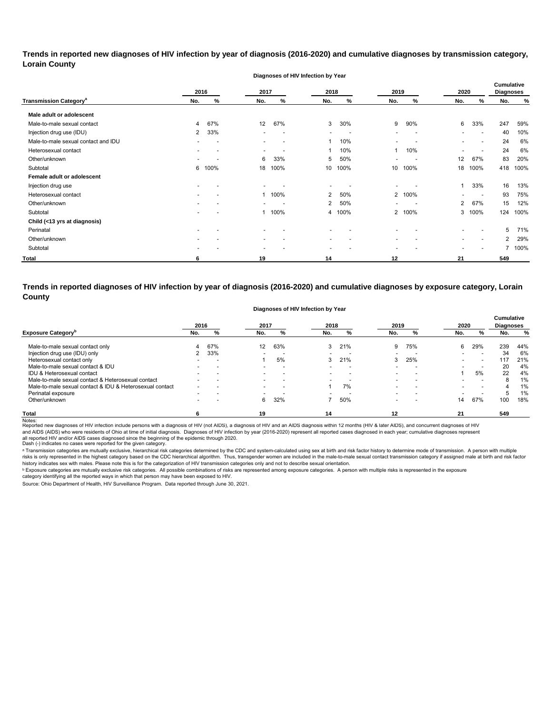**Trends in reported new diagnoses of HIV infection by year of diagnosis (2016-2020) and cumulative diagnoses by transmission category, Lorain County**

**Diagnoses of HIV Infection by Year**

|                                          | 2016                     |      | 2017                     |                          | 2018                     |                          | 2019                     |                          | 2020                     |                          | <b>Cumulative</b><br><b>Diagnoses</b> |      |
|------------------------------------------|--------------------------|------|--------------------------|--------------------------|--------------------------|--------------------------|--------------------------|--------------------------|--------------------------|--------------------------|---------------------------------------|------|
| <b>Transmission Category<sup>a</sup></b> | No.                      | %    | No.                      | %                        | No.                      | %                        | No.                      | %                        | No.                      | %                        | No.                                   | %    |
| Male adult or adolescent                 |                          |      |                          |                          |                          |                          |                          |                          |                          |                          |                                       |      |
| Male-to-male sexual contact              | 4                        | 67%  | 12                       | 67%                      | 3                        | 30%                      | 9                        | 90%                      | 6                        | 33%                      | 247                                   | 59%  |
| Injection drug use (IDU)                 | $\mathbf{2}$             | 33%  | $\overline{\phantom{a}}$ | $\overline{\phantom{a}}$ | $\overline{\phantom{a}}$ | $\overline{\phantom{a}}$ | -                        | $\overline{\phantom{a}}$ |                          | $\overline{\phantom{a}}$ | 40                                    | 10%  |
| Male-to-male sexual contact and IDU      | $\overline{\phantom{0}}$ |      | $\overline{\phantom{a}}$ | $\overline{\phantom{a}}$ |                          | 10%                      | $\overline{\phantom{0}}$ | $\overline{a}$           | $\overline{\phantom{0}}$ | $\overline{\phantom{0}}$ | 24                                    | 6%   |
| Heterosexual contact                     |                          |      | $\overline{\phantom{0}}$ |                          | 1                        | 10%                      | $\mathbf{1}$             | 10%                      |                          |                          | 24                                    | 6%   |
| Other/unknown                            | $\overline{\phantom{0}}$ |      | 6                        | 33%                      | 5                        | 50%                      | $\overline{\phantom{0}}$ | $\overline{\phantom{0}}$ | 12                       | 67%                      | 83                                    | 20%  |
| Subtotal                                 | 6                        | 100% | 18                       | 100%                     | 10                       | 100%                     | 10                       | 100%                     | 18                       | 100%                     | 418                                   | 100% |
| Female adult or adolescent               |                          |      |                          |                          |                          |                          |                          |                          |                          |                          |                                       |      |
| Injection drug use                       |                          |      | $\blacksquare$           |                          | $\overline{\phantom{a}}$ |                          | $\overline{\phantom{0}}$ |                          |                          | 33%                      | 16                                    | 13%  |
| Heterosexual contact                     |                          |      |                          | 100%                     | $\overline{2}$           | 50%                      | $\mathbf{2}$             | 100%                     | $\overline{\phantom{0}}$ | $\sim$                   | 93                                    | 75%  |
| Other/unknown                            |                          |      | $\overline{\phantom{0}}$ |                          | $\overline{2}$           | 50%                      | $\overline{\phantom{0}}$ | $\overline{a}$           | $\overline{2}$           | 67%                      | 15                                    | 12%  |
| Subtotal                                 |                          |      |                          | 100%                     | 4                        | 100%                     | $\mathbf{2}$             | 100%                     |                          | 3 100%                   | 124                                   | 100% |
| Child (<13 yrs at diagnosis)             |                          |      |                          |                          |                          |                          |                          |                          |                          |                          |                                       |      |
| Perinatal                                |                          |      |                          |                          |                          |                          |                          |                          |                          |                          | 5                                     | 71%  |
| Other/unknown                            |                          |      | $\overline{\phantom{a}}$ |                          | ۰.                       |                          | $\overline{\phantom{0}}$ |                          |                          | $\overline{\phantom{a}}$ | $\overline{2}$                        | 29%  |
| Subtotal                                 |                          |      | $\overline{\phantom{a}}$ |                          | $\overline{\phantom{a}}$ |                          | $\overline{\phantom{a}}$ |                          |                          |                          |                                       | 100% |
| <b>Total</b>                             | 6                        |      | 19                       |                          | 14                       |                          | 12                       |                          | 21                       |                          | 549                                   |      |

**Trends in reported diagnoses of HIV infection by year of diagnosis (2016-2020) and cumulative diagnoses by exposure category, Lorain County**

**Diagnoses of HIV Infection by Year**

|                                                          | 2016                     |                          | 2017                     |     | 2018                     |                          | 2019                     |                          | 2020                     |                          | <b>Cumulative</b><br>Diagnoses |     |
|----------------------------------------------------------|--------------------------|--------------------------|--------------------------|-----|--------------------------|--------------------------|--------------------------|--------------------------|--------------------------|--------------------------|--------------------------------|-----|
| <b>Exposure Category</b> <sup>D</sup>                    | No.                      | %                        | No.                      | %   | No.                      | ℅                        | No.                      | %                        | No.                      | %                        | No.                            | %   |
| Male-to-male sexual contact only                         |                          | 67%                      | $12 \overline{ }$        | 63% | 3                        | 21%                      | 9                        | 75%                      | 6                        | 29%                      | 239                            | 44% |
| Injection drug use (IDU) only                            | 2                        | 33%                      | $\overline{\phantom{0}}$ | . . |                          | $\overline{\phantom{a}}$ |                          | -                        | $\overline{\phantom{0}}$ | $\overline{\phantom{a}}$ | 34                             | 6%  |
| Heterosexual contact only                                | $\overline{\phantom{0}}$ | $\overline{\phantom{0}}$ |                          | 5%  | 3                        | 21%                      | 3                        | 25%                      | $\overline{\phantom{0}}$ | $\overline{\phantom{0}}$ | 117                            | 21% |
| Male-to-male sexual contact & IDU                        | $\overline{\phantom{0}}$ | $\overline{\phantom{a}}$ |                          |     |                          |                          |                          |                          |                          | $\overline{\phantom{0}}$ | 20                             | 4%  |
| IDU & Heterosexual contact                               | $\overline{\phantom{0}}$ | $\overline{\phantom{a}}$ | $\overline{\phantom{a}}$ | . . | $\overline{\phantom{0}}$ | $\overline{\phantom{0}}$ | $\overline{\phantom{0}}$ | -                        |                          | 5%                       | 22                             | 4%  |
| Male-to-male sexual contact & Heterosexual contact       | $\overline{\phantom{0}}$ | $\overline{\phantom{0}}$ | $\sim$                   |     |                          |                          |                          | $\overline{\phantom{a}}$ |                          | $\overline{\phantom{0}}$ | 8                              | 1%  |
| Male-to-male sexual contact & IDU & Heterosexual contact | $\overline{\phantom{0}}$ |                          |                          |     |                          | 7%                       |                          | -                        |                          | $\overline{\phantom{0}}$ |                                | 1%  |
| Perinatal exposure                                       | $\overline{\phantom{0}}$ | $\overline{\phantom{0}}$ | $\overline{\phantom{0}}$ |     |                          |                          |                          | -                        | $\overline{\phantom{0}}$ | $\overline{\phantom{0}}$ | 5                              | 1%  |
| Other/unknown                                            | $\overline{\phantom{0}}$ |                          | 6                        | 32% |                          | 50%                      |                          | -                        | 14                       | 67%                      | 100                            | 18% |
| Total                                                    | 6                        |                          | 19                       |     | 14                       |                          | 12                       |                          | 21                       |                          | 549                            |     |

Notes:<br>Reported new diagnoses of HIV infection include persons with a diagnosis of HIV (not AIDS), a diagnosis addignosis of HIDS diagnosis within 12 months (HIV & later AIDS), and concurrent diagnoses of HIV all reported HIV and/or AIDS cases diagnosed since the beginning of the epidemic through 2020.<br>Dash (-) indicates no cases were reported for the given category. and AIDS (AIDS) who were residents of Ohio at time of initial diagnosis. Diagnoses of HIV infection by year (2016-2020) represent all reported cases diagnosed in each year; cumulative diagnoses represent

a Transmission categories are mutually exclusive, hierarchical risk categories determined by the CDC and system-calculated using sex at birth and risk factor history to determine mode of transmission. A person with multip risks is only represented in the highest category based on the CDC hierarchical algorithm. Thus, transgender women are included in the male-to-male sexual contact transmission category if assigned male at birth and risk f history indicates sex with males. Please note this is for the categorization of HIV transmission categories only and not to describe sexual orientation.

 $^{\rm b}$  Exposure categories are mutually exclusive risk categories. All possible combinations of risks are represented among exposure categories. A person with multiple risks is represented in the exposure

category identifying all the reported ways in which that person may have been exposed to HIV. Source: Ohio Department of Health, HIV Surveillance Program. Data reported through June 30, 2021.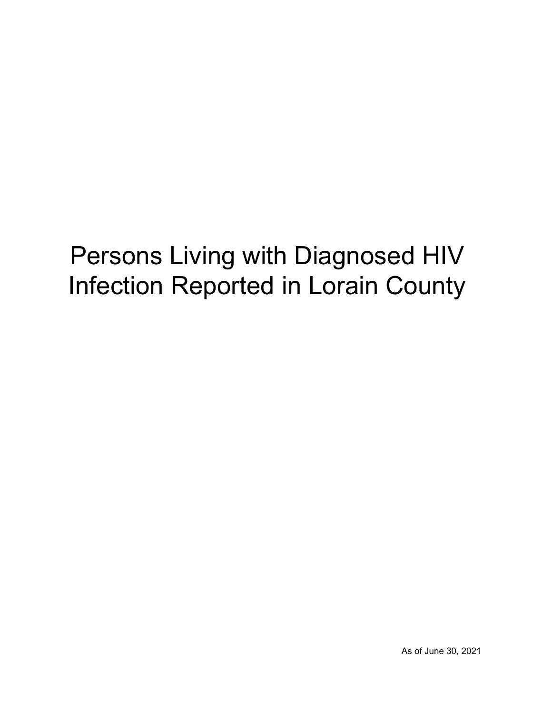# Persons Living with Diagnosed HIV Infection Reported in Lorain County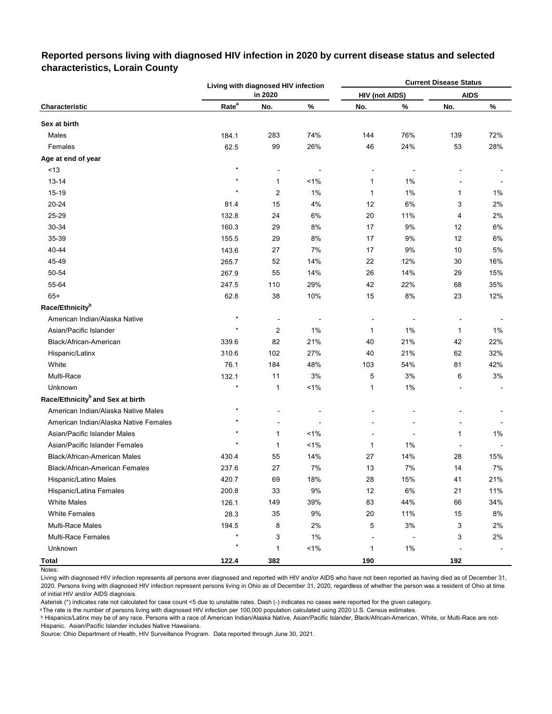#### **Current Disease Status Characteristic Rate<sup>a</sup> No. % No. % No. % Sex at birth** Males 184.1 283 74% 144 76% 139 72% Females 62.5 99 26% 46 24% 53 28% **Age at end of year**  $\le$ 13  $\le$  -  $\le$  -  $\le$  -  $\le$  -  $\le$  -  $\le$  -  $\le$  -  $\le$  -  $\le$  -  $\le$  -  $\le$  -  $\le$  -  $\le$  -  $\le$  -  $\le$  -  $\le$  -  $\le$  -  $\le$  -  $\le$  -  $\le$  -  $\le$  -  $\le$  -  $\le$  -  $\le$  -  $\le$  -  $\le$  -  $\le$  -  $\le$  -  $\le$  -  $\le$  -  $\le$ 13-14 \* 1 <1% 1 1% - - 15-19 \* 2 1% 1 1% 1 1% 20-24 81.4 15 4% 12 6% 3 2% 25-29 132.8 24 6% 20 11% 4 2% 30-34 160.3 29 8% 17 9% 12 6% 35-39 155.5 29 8% 17 9% 12 6% 40-44 143.6 27 7% 17 9% 10 5% 45-49 265.7 52 14% 22 12% 30 16% 50-54 267.9 55 14% 26 14% 29 15% 55-64 247.5 110 29% 42 22% 68 35% 65+ 62.8 38 10% 15 8% 23 12% **Race/Ethnicity<sup>b</sup>** American Indian/Alaska Native \* - - - - - - Asian/Pacific Islander \* 2 1% 1 1% 1 1% Black/African-American 339.6 82 21% 40 21% 42 22% Hispanic/Latinx 310.6 102 27% 40 21% 62 32% White 76.1 184 48% 103 54% 81 42% Multi-Race 132.1 11 3% 5 3% 6 3% Unknown \* 1 <1% 1 1% - - **Race/Ethnicity<sup>b</sup>and Sex at birth** American Indian/Alaska Native Males **\* \*** The state of the state of the state of the state of the state of the state of the state of the state of the state of the state of the state of the state of the state of the state American Indian/Alaska Native Females \* - - - - - - Asian/Pacific Islander Males **1** 1% <sup>\*</sup> 1 1 1% - 1 1 1% - 1 1 1% Asian/Pacific Islander Females \* 1 <1% 1 1% - - Black/African-American Males 430.4 55 14% 27 14% 28 15% Black/African-American Females 237.6 27 7% 13 7% 14 7% Hispanic/Latino Males 420.7 69 18% 28 15% 41 21% Hispanic/Latina Females 200.8 33 9% 12 6% 21 11% White Males 126.1 149 39% 83 44% 66 34% White Females 28.3 35 9% 20 11% 15 8% Multi-Race Males 194.5 8 2% 5 3% 3 2% Multi-Race Females \* 3 1% - - 3 2% Unknown \* 1 <1% 1 1% - - **Total 122.4 382 190 192 HIV (not AIDS) AIDS Living with diagnosed HIV infection in 2020**

# **Reported persons living with diagnosed HIV infection in 2020 by current disease status and selected characteristics, Lorain County**

Living with diagnosed HIV infection represents all persons ever diagnosed and reported with HIV and/or AIDS who have not been reported as having died as of December 31, 2020. Persons living with diagnosed HIV infection represent persons living in Ohio as of December 31, 2020, regardless of whether the person was a resident of Ohio at time of initial HIV and/or AIDS diagnosis.

Asterisk (\*) indicates rate not calculated for case count <5 due to unstable rates. Dash (-) indicates no cases were reported for the given category.

a The rate is the number of persons living with diagnosed HIV infection per 100,000 population calculated using 2020 U.S. Census estimates.

ᵇ Hispanics/Latinx may be of any race. Persons with a race of American Indian/Alaska Native, Asian/Pacific Islander, Black/African-American, White, or Multi-Race are not-Hispanic. Asian/Pacific Islander includes Native Hawaiians.

Notes: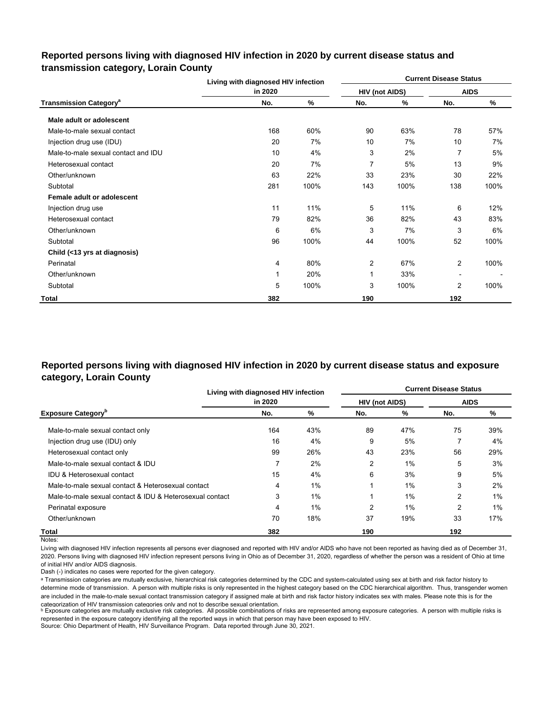# **Reported persons living with diagnosed HIV infection in 2020 by current disease status and transmission category, Lorain County**

|                                          | Living with diagnosed HIV infection |      |                       |      | <b>Current Disease Status</b> |      |
|------------------------------------------|-------------------------------------|------|-----------------------|------|-------------------------------|------|
|                                          | in 2020                             |      | <b>HIV (not AIDS)</b> |      | <b>AIDS</b>                   |      |
| <b>Transmission Category<sup>a</sup></b> | No.                                 | %    | No.                   | %    | No.                           | %    |
| Male adult or adolescent                 |                                     |      |                       |      |                               |      |
| Male-to-male sexual contact              | 168                                 | 60%  | 90                    | 63%  | 78                            | 57%  |
| Injection drug use (IDU)                 | 20                                  | 7%   | 10                    | 7%   | 10                            | 7%   |
| Male-to-male sexual contact and IDU      | 10                                  | 4%   | 3                     | 2%   | 7                             | 5%   |
| Heterosexual contact                     | 20                                  | 7%   | 7                     | 5%   | 13                            | 9%   |
| Other/unknown                            | 63                                  | 22%  | 33                    | 23%  | 30                            | 22%  |
| Subtotal                                 | 281                                 | 100% | 143                   | 100% | 138                           | 100% |
| Female adult or adolescent               |                                     |      |                       |      |                               |      |
| Injection drug use                       | 11                                  | 11%  | 5                     | 11%  | 6                             | 12%  |
| Heterosexual contact                     | 79                                  | 82%  | 36                    | 82%  | 43                            | 83%  |
| Other/unknown                            | 6                                   | 6%   | 3                     | 7%   | 3                             | 6%   |
| Subtotal                                 | 96                                  | 100% | 44                    | 100% | 52                            | 100% |
| Child (<13 yrs at diagnosis)             |                                     |      |                       |      |                               |      |
| Perinatal                                | 4                                   | 80%  | $\overline{2}$        | 67%  | 2                             | 100% |
| Other/unknown                            |                                     | 20%  | 1                     | 33%  | $\blacksquare$                |      |
| Subtotal                                 | 5                                   | 100% | 3                     | 100% | $\overline{2}$                | 100% |
| Total                                    | 382                                 |      | 190                   |      | 192                           |      |

# **Reported persons living with diagnosed HIV infection in 2020 by current disease status and exposure category, Lorain County**

|                                                          | Living with diagnosed HIV infection |       |                       |       | <b>Current Disease Status</b> |       |
|----------------------------------------------------------|-------------------------------------|-------|-----------------------|-------|-------------------------------|-------|
|                                                          | in 2020                             |       | <b>HIV (not AIDS)</b> |       | <b>AIDS</b>                   |       |
| <b>Exposure Category</b> <sup>b</sup>                    | No.                                 | %     | No.                   | %     | No.                           | %     |
| Male-to-male sexual contact only                         | 164                                 | 43%   | 89                    | 47%   | 75                            | 39%   |
| Injection drug use (IDU) only                            | 16                                  | 4%    | 9                     | 5%    |                               | 4%    |
| Heterosexual contact only                                | 99                                  | 26%   | 43                    | 23%   | 56                            | 29%   |
| Male-to-male sexual contact & IDU                        | 7                                   | 2%    | 2                     | $1\%$ | 5                             | 3%    |
| <b>IDU &amp; Heterosexual contact</b>                    | 15                                  | 4%    | 6                     | 3%    | 9                             | 5%    |
| Male-to-male sexual contact & Heterosexual contact       | 4                                   | $1\%$ |                       | 1%    | 3                             | 2%    |
| Male-to-male sexual contact & IDU & Heterosexual contact | 3                                   | 1%    |                       | 1%    | $\overline{2}$                | $1\%$ |
| Perinatal exposure                                       | 4                                   | 1%    | $\overline{2}$        | 1%    | $\overline{2}$                | 1%    |
| Other/unknown                                            | 70                                  | 18%   | 37                    | 19%   | 33                            | 17%   |
| Total                                                    | 382                                 |       | 190                   |       | 192                           |       |

Notes:

Living with diagnosed HIV infection represents all persons ever diagnosed and reported with HIV and/or AIDS who have not been reported as having died as of December 31, 2020. Persons living with diagnosed HIV infection represent persons living in Ohio as of December 31, 2020, regardless of whether the person was a resident of Ohio at time of initial HIV and/or AIDS diagnosis.

Dash (-) indicates no cases were reported for the given category.

a Transmission categories are mutually exclusive, hierarchical risk categories determined by the CDC and system-calculated using sex at birth and risk factor history to determine mode of transmission. A person with multiple risks is only represented in the highest category based on the CDC hierarchical algorithm. Thus, transgender women are included in the male-to-male sexual contact transmission category if assigned male at birth and risk factor history indicates sex with males. Please note this is for the categorization of HIV transmission categories only and not to describe sexual orientation.

**b** Exposure categories are mutually exclusive risk categories. All possible combinations of risks are represented among exposure categories. A person with multiple risks is represented in the exposure category identifying all the reported ways in which that person may have been exposed to HIV.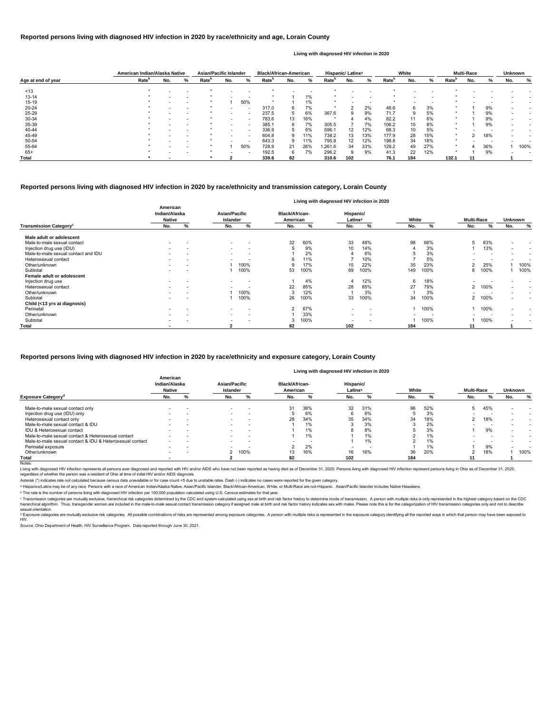|                    | American Indian/Alaska Native |     |                          | <b>Asian/Pacific Islander</b> |     |                          | <b>Black/African-American</b> |     |     |                   | Hispanic/ Latinx <sup>a</sup> |     |                   | White |     |                   | <b>Multi-Race</b> |     | <b>Unknown</b> |      |
|--------------------|-------------------------------|-----|--------------------------|-------------------------------|-----|--------------------------|-------------------------------|-----|-----|-------------------|-------------------------------|-----|-------------------|-------|-----|-------------------|-------------------|-----|----------------|------|
| Age at end of year | Rate <sup>b</sup>             | No. | %                        | Rate <sup>r</sup>             | No. | %                        | Rate <sup>p</sup>             | No. | %   | Rate <sup>r</sup> | No.                           | %   | Rate <sup>r</sup> | No.   | ℅   | Rate <sup>"</sup> | No.               |     | No.            | %    |
| ~13                |                               |     |                          |                               |     |                          |                               |     |     |                   |                               |     |                   |       |     |                   |                   |     |                |      |
| $13 - 14$          |                               |     |                          |                               |     |                          |                               |     | 1%  |                   |                               |     |                   |       |     |                   |                   |     |                |      |
| $15 - 19$          |                               |     | $\overline{\phantom{0}}$ |                               |     | 50%                      | $\ast$                        |     | 1%  |                   |                               |     |                   |       |     |                   |                   |     |                |      |
| 20-24              |                               |     |                          |                               |     |                          | 317.0                         | 6   | 7%  |                   |                               | 2%  | 48.6              |       | 3%  |                   |                   | 9%  |                |      |
| 25-29              |                               |     |                          |                               |     | $\overline{\phantom{a}}$ | 237.5                         | 5   | 6%  | 367.6             |                               | 9%  | 71.7              |       | 5%  |                   |                   | 9%  |                |      |
| 30-34              |                               |     |                          |                               |     | $\overline{\phantom{a}}$ | 783.6                         | 13  | 16% |                   |                               | 4%  | 82.2              | 11    | 6%  |                   |                   | 9%  |                |      |
| 35-39              |                               |     | $\overline{\phantom{0}}$ |                               |     | $\overline{\phantom{a}}$ | 385.1                         | 6   | 7%  | 305.5             |                               | 7%  | 106.2             | 15    | 8%  |                   |                   | 9%  |                |      |
| 40-44              |                               |     |                          |                               |     | $\overline{\phantom{a}}$ | 336.9                         | 5   | 6%  | 596.1             | 12                            | 12% | 68.3              | 10    | 5%  |                   |                   |     |                |      |
| 45-49              |                               |     |                          |                               |     | $\overline{\phantom{a}}$ | 604.8                         |     | 11% | 738.2             | 13                            | 13% | 177.9             | 28    | 15% | $\star$           |                   | 18% |                |      |
| 50-54              |                               |     |                          |                               |     | $\overline{\phantom{a}}$ | 643.3                         | a   | 11% | 795.8             | 12                            | 12% | 198.8             | 34    | 18% |                   |                   |     |                |      |
| 55-64              |                               |     |                          |                               |     | 50%                      | 728.9                         | 21  | 26% | .261.6            | 34                            | 33% | 129.2             | 49    | 27% |                   |                   | 36% |                | 100% |
| $65+$              |                               |     |                          |                               |     | $\overline{\phantom{a}}$ | 192.5                         | 6   | 7%  | 296.2             | 9                             | 9%  | 41.3              | 22    | 12% |                   |                   | 9%  |                |      |
| <b>Total</b>       |                               |     |                          |                               |     |                          | 339.6                         | 82  |     | 310.6             | 102                           |     | 76.1              | 184   |     | 132.1             |                   |     |                |      |

© Transmission categories are mutually exclusive, hierarchical risk categories determined by the CDC and system-calculated using sex at birth and risk factor history to determine mode of transmission. A person with multip hierarchical algorithm. Thus, transgender women are included in the male-to-male sexual contact transmission category if assigned male at birth and risk factor history indicates sex with males. Please note this is for the sexual orientation.

<sup>d</sup> Exposure categories are mutually exclusive risk categories. All possible combinations of risks are represented among exposure categories. A person with multiple risks is represented in the exposure category identifying

|                                          | Living with diagnosed HIV infection in 2020 |                          |                                         |                          |                                   |      |                                  |                          |       |      |                |      |                          |                          |
|------------------------------------------|---------------------------------------------|--------------------------|-----------------------------------------|--------------------------|-----------------------------------|------|----------------------------------|--------------------------|-------|------|----------------|------|--------------------------|--------------------------|
| <b>Transmission Category<sup>c</sup></b> | American<br>Indian/Alaska<br><b>Native</b>  |                          | <b>Asian/Pacific</b><br><b>Islander</b> |                          | <b>Black/African-</b><br>American |      | Hispanic/<br>Latinx <sup>a</sup> |                          | White |      | Multi-Race     |      | <b>Unknown</b>           |                          |
|                                          | No.                                         | %                        | No.                                     | %                        | No.                               | %    | No.                              | %                        | No.   | %    | No.            | %    | No.                      | %                        |
| Male adult or adolescent                 |                                             |                          |                                         |                          |                                   |      |                                  |                          |       |      |                |      |                          |                          |
| Male-to-male sexual contact              | $\overline{\phantom{a}}$                    | $\overline{\phantom{0}}$ | $\overline{\phantom{0}}$                | $\overline{\phantom{a}}$ | 32                                | 60%  | 33                               | 48%                      | 98    | 66%  | 5              | 63%  |                          | $\overline{\phantom{0}}$ |
| Injection drug use (IDU)                 |                                             | $\overline{\phantom{0}}$ | $\overline{\phantom{a}}$                | $\overline{\phantom{a}}$ |                                   | 9%   | 10                               | 14%                      |       | 3%   |                | 13%  |                          |                          |
| Male-to-male sexual contact and IDU      |                                             | $\overline{\phantom{a}}$ | $\overline{\phantom{a}}$                | $\overline{\phantom{a}}$ |                                   | 2%   |                                  | 6%                       | 5     | 3%   |                |      |                          |                          |
| Heterosexual contact                     |                                             | $\overline{\phantom{a}}$ | $\overline{\phantom{0}}$                | $\overline{\phantom{a}}$ |                                   | 11%  |                                  | 10%                      |       | 5%   |                |      |                          |                          |
| Other/unknown                            |                                             | $\overline{\phantom{a}}$ |                                         | 100%                     |                                   | 17%  | 15                               | 22%                      | 35    | 23%  | $\overline{2}$ | 25%  |                          | 100%                     |
| Subtotal                                 |                                             |                          |                                         | 100%                     | 53                                | 100% | 69                               | 100%                     | 149   | 100% | 8              | 100% |                          | 100%                     |
| Female adult or adolescent               |                                             |                          |                                         |                          |                                   |      |                                  |                          |       |      |                |      |                          |                          |
| Injection drug use                       |                                             |                          |                                         |                          |                                   | 4%   |                                  | 12%                      | 6     | 18%  |                |      |                          |                          |
| Heterosexual contact                     |                                             | $\overline{\phantom{0}}$ |                                         | $\overline{\phantom{0}}$ | 22                                | 85%  | 28                               | 85%                      | 27    | 79%  | $\overline{2}$ | 100% | $\overline{\phantom{a}}$ | $\overline{\phantom{0}}$ |
| Other/unknown                            |                                             | $\overline{\phantom{a}}$ |                                         | 100%                     |                                   | 12%  |                                  | 3%                       |       | 3%   |                |      | $\overline{\phantom{0}}$ | $\overline{\phantom{a}}$ |
| Subtotal                                 |                                             | $\overline{\phantom{0}}$ |                                         | 100%                     | 26                                | 100% | 33                               | 100%                     | 34    | 100% | $\overline{2}$ | 100% |                          | $\overline{\phantom{0}}$ |
| Child (<13 yrs at diagnosis)             |                                             |                          |                                         |                          |                                   |      |                                  |                          |       |      |                |      |                          |                          |
| Perinatal                                |                                             |                          | $\overline{\phantom{0}}$                | $\overline{\phantom{a}}$ | $\overline{2}$                    | 67%  | $\overline{\phantom{a}}$         |                          |       | 100% |                | 100% |                          | $\overline{\phantom{0}}$ |
| Other/unknown                            |                                             |                          | $\overline{\phantom{a}}$                | $\overline{\phantom{0}}$ |                                   | 33%  |                                  | $\overline{\phantom{0}}$ |       |      |                |      |                          |                          |
| Subtotal                                 |                                             | $\overline{\phantom{0}}$ | $\overline{\phantom{0}}$                | $\overline{\phantom{0}}$ |                                   | 100% |                                  | $\overline{\phantom{0}}$ |       | 100% |                | 100% |                          |                          |
| <b>Total</b>                             |                                             |                          |                                         |                          | 82                                |      | 102                              |                          | 184   |      | 11             |      |                          |                          |

|                                                          | American<br>Indian/Alaska<br><b>Native</b> |                          | Asian/Pacific<br>Islander |                          | <b>Black/African-</b><br>American |       | Hispanic/<br>Latinx <sup>a</sup> |                          | White |     | <b>Multi-Race</b> |     | <b>Unknown</b> |                          |
|----------------------------------------------------------|--------------------------------------------|--------------------------|---------------------------|--------------------------|-----------------------------------|-------|----------------------------------|--------------------------|-------|-----|-------------------|-----|----------------|--------------------------|
| <b>Exposure Category<sup>a</sup></b>                     | No.                                        |                          | No.                       |                          | No.                               |       | No.                              |                          | No.   |     | No.               |     | No.            |                          |
| Male-to-male sexual contact only                         | $\overline{\phantom{a}}$                   | $\overline{\phantom{a}}$ | $\overline{\phantom{a}}$  | -                        | 31                                | 38%   | 32                               | 31%                      | 96    | 52% |                   | 45% |                |                          |
| Injection drug use (IDU) only                            |                                            | $\overline{\phantom{a}}$ | $\overline{\phantom{a}}$  |                          |                                   | 6%    | 6                                | 6%                       |       | 3%  |                   |     |                |                          |
| Heterosexual contact only                                |                                            |                          | $\overline{\phantom{a}}$  |                          | 28                                | 34%   | 35                               | 34%                      | 34    | 18% |                   | 18% |                |                          |
| Male-to-male sexual contact & IDU                        |                                            |                          | $\overline{\phantom{a}}$  |                          |                                   | $1\%$ |                                  | 3%                       |       | 2%  |                   |     |                |                          |
| <b>IDU &amp; Heterosexual contact</b>                    | $\overline{\phantom{0}}$                   | $\overline{\phantom{a}}$ | $\sim$                    | $\overline{\phantom{a}}$ |                                   | 1%    | 8                                | 8%                       |       | 3%  |                   | 9%  |                | $\overline{\phantom{a}}$ |
| Male-to-male sexual contact & Heterosexual contact       |                                            | $\overline{\phantom{a}}$ | $\overline{\phantom{a}}$  | $\overline{\phantom{a}}$ |                                   | 1%    |                                  | 1%                       |       | 1%  |                   |     |                |                          |
| Male-to-male sexual contact & IDU & Heterosexual contact | $\overline{\phantom{a}}$                   |                          | $\overline{\phantom{a}}$  |                          | $\overline{\phantom{a}}$          |       |                                  | 1%                       |       | 1%  |                   |     |                |                          |
| Perinatal exposure                                       | $\overline{\phantom{a}}$                   | $\overline{\phantom{a}}$ |                           |                          |                                   | 2%    | $\overline{\phantom{a}}$         | $\overline{\phantom{0}}$ |       | 1%  |                   | 9%  |                |                          |
| Other/unknown                                            | $\overline{\phantom{0}}$                   | $\overline{\phantom{a}}$ | ົ່າ                       | 100%                     |                                   | 16%   | 16                               | 16%                      | 36    | 20% |                   | 18% |                | 100%                     |
| Total                                                    |                                            |                          |                           |                          | 82                                |       | 102                              |                          | 184   |     |                   |     |                |                          |

Notes:

Living with diagnosed HIV infection represents all persons ever diagnosed and reported with HIV and/or AIDS who have not been reported as having died as of December 31, 2020. Persons living with diagnosed HIV infection rep regardless of whether the person was a resident of Ohio at time of initial HIV and/or AIDS diagnosis.

#### **Reported persons living with diagnosed HIV infection in 2020 by race/ethnicity and transmission category, Lorain County**

#### **Reported persons living with diagnosed HIV infection in 2020 by race/ethnicity and age, Lorain County**

#### **Living with diagnosed HIV infection in 2020**

#### **Reported persons living with diagnosed HIV infection in 2020 by race/ethnicity and exposure category, Lorain County**

#### **Living with diagnosed HIV infection in 2020**

Source: Ohio Department of Health, HIV Surveillance Program. Data reported through June 30, 2021.

ᵇ The rate is the number of persons living with diagnosed HIV infection per 100,000 population calculated using U.S. Census estimates for that year.

Asterisk (\*) indicates rate not calculated because census data unavailable or for case count <5 due to unstable rates. Dash (-) indicates no cases were reported for the given category.

a Hispanics/Latinx may be of any race. Persons with a race of American Indian/Alaska Native, Asian/Pacific Islander, Black/African-American, White, or Multi-Race are not-Hispanic. Asian/Pacific Islander includes Native Haw

#### HIV.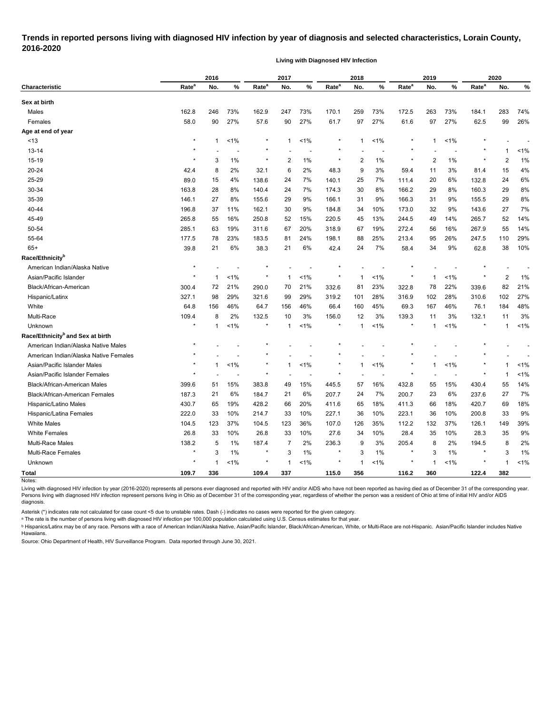# **Trends in reported persons living with diagnosed HIV infection by year of diagnosis and selected characteristics, Lorain County, 2016-2020**

**Living with Diagnosed HIV Infection**

|                                              | 2016              |              |         | 2017              |             |                | 2018              |     |         | 2019              |                |         | 2020              |                |         |
|----------------------------------------------|-------------------|--------------|---------|-------------------|-------------|----------------|-------------------|-----|---------|-------------------|----------------|---------|-------------------|----------------|---------|
| <b>Characteristic</b>                        | Rate <sup>a</sup> | No.          | %       | Rate <sup>a</sup> | No.         | %              | Rate <sup>a</sup> | No. | %       | Rate <sup>a</sup> | No.            | %       | Rate <sup>a</sup> | No.            | %       |
| Sex at birth                                 |                   |              |         |                   |             |                |                   |     |         |                   |                |         |                   |                |         |
| Males                                        | 162.8             | 246          | 73%     | 162.9             | 247         | 73%            | 170.1             | 259 | 73%     | 172.5             | 263            | 73%     | 184.1             | 283            | 74%     |
| Females                                      | 58.0              | 90           | 27%     | 57.6              | 90          | 27%            | 61.7              | 97  | 27%     | 61.6              | 97             | 27%     | 62.5              | 99             | 26%     |
| Age at end of year                           |                   |              |         |                   |             |                |                   |     |         |                   |                |         |                   |                |         |
| < 13                                         | $^\star$          | $\mathbf{1}$ | $< 1\%$ |                   | $\mathbf 1$ | $< 1\%$        | $\ast$            | 1   | $< 1\%$ | $\ast$            | $\mathbf{1}$   | $< 1\%$ |                   |                |         |
| 13-14                                        | *                 |              |         | $^\ast$           |             | $\overline{a}$ | $\star$           |     |         |                   |                |         |                   | 1              | 1%      |
| 15-19                                        | $\star$           | 3            | 1%      | $\star$           | 2           | 1%             | $\star$           | 2   | 1%      | $\star$           | $\overline{2}$ | 1%      | $^\star$          | $\overline{2}$ | 1%      |
| 20-24                                        | 42.4              | 8            | 2%      | 32.1              | 6           | 2%             | 48.3              | 9   | 3%      | 59.4              | 11             | 3%      | 81.4              | 15             | 4%      |
| 25-29                                        | 89.0              | 15           | 4%      | 138.6             | 24          | 7%             | 140.1             | 25  | 7%      | 111.4             | 20             | 6%      | 132.8             | 24             | 6%      |
| 30-34                                        | 163.8             | 28           | 8%      | 140.4             | 24          | 7%             | 174.3             | 30  | 8%      | 166.2             | 29             | 8%      | 160.3             | 29             | 8%      |
| 35-39                                        | 146.1             | 27           | 8%      | 155.6             | 29          | 9%             | 166.1             | 31  | 9%      | 166.3             | 31             | 9%      | 155.5             | 29             | 8%      |
| 40-44                                        | 196.8             | 37           | 11%     | 162.1             | 30          | 9%             | 184.8             | 34  | 10%     | 173.0             | 32             | 9%      | 143.6             | 27             | 7%      |
| 45-49                                        | 265.8             | 55           | 16%     | 250.8             | 52          | 15%            | 220.5             | 45  | 13%     | 244.5             | 49             | 14%     | 265.7             | 52             | 14%     |
| 50-54                                        | 285.1             | 63           | 19%     | 311.6             | 67          | 20%            | 318.9             | 67  | 19%     | 272.4             | 56             | 16%     | 267.9             | 55             | 14%     |
| 55-64                                        | 177.5             | 78           | 23%     | 183.5             | 81          | 24%            | 198.1             | 88  | 25%     | 213.4             | 95             | 26%     | 247.5             | 110            | 29%     |
| $65+$                                        | 39.8              | 21           | 6%      | 38.3              | 21          | 6%             | 42.4              | 24  | 7%      | 58.4              | 34             | 9%      | 62.8              | 38             | 10%     |
| Race/Ethnicity <sup>b</sup>                  |                   |              |         |                   |             |                |                   |     |         |                   |                |         |                   |                |         |
| American Indian/Alaska Native                | $\star$           |              |         |                   |             |                |                   |     |         |                   |                |         |                   |                |         |
| Asian/Pacific Islander                       | $\star$           | -1           | 1%      | $^\star$          | -1          | $1\%$          | $\star$           | 1   | $1\%$   | $\ast$            | -1             | 1%      | $^{\ast}$         | $\overline{2}$ | 1%      |
| Black/African-American                       | 300.4             | 72           | 21%     | 290.0             | 70          | 21%            | 332.6             | 81  | 23%     | 322.8             | 78             | 22%     | 339.6             | 82             | 21%     |
| Hispanic/Latinx                              | 327.1             | 98           | 29%     | 321.6             | 99          | 29%            | 319.2             | 101 | 28%     | 316.9             | 102            | 28%     | 310.6             | 102            | 27%     |
| White                                        | 64.8              | 156          | 46%     | 64.7              | 156         | 46%            | 66.4              | 160 | 45%     | 69.3              | 167            | 46%     | 76.1              | 184            | 48%     |
| Multi-Race                                   | 109.4             | 8            | 2%      | 132.5             | 10          | 3%             | 156.0             | 12  | 3%      | 139.3             | 11             | 3%      | 132.1             | 11             | 3%      |
| Unknown                                      | $\star$           | $\mathbf 1$  | 1%      | $\star$           | $\mathbf 1$ | 1%             | ×                 | 1   | $1\%$   |                   | $\mathbf 1$    | 1%      | $^\star$          | 1              | 1%      |
| Race/Ethnicity <sup>b</sup> and Sex at birth |                   |              |         |                   |             |                |                   |     |         |                   |                |         |                   |                |         |
| American Indian/Alaska Native Males          |                   |              |         |                   |             |                |                   |     |         |                   |                |         |                   |                |         |
| American Indian/Alaska Native Females        |                   |              |         |                   |             |                |                   |     |         |                   |                |         |                   |                |         |
| Asian/Pacific Islander Males                 |                   | -1           | 1%      |                   | -1          | $< 1\%$        | $\star$           | 1   | 1%      |                   | $\mathbf{1}$   | 1%      |                   |                | 1%      |
| Asian/Pacific Islander Females               | $\star$           |              |         |                   |             |                |                   |     |         |                   |                |         |                   | 1              | $< 1\%$ |
| <b>Black/African-American Males</b>          | 399.6             | 51           | 15%     | 383.8             | 49          | 15%            | 445.5             | 57  | 16%     | 432.8             | 55             | 15%     | 430.4             | 55             | 14%     |
| <b>Black/African-American Females</b>        | 187.3             | 21           | 6%      | 184.7             | 21          | 6%             | 207.7             | 24  | 7%      | 200.7             | 23             | 6%      | 237.6             | 27             | 7%      |
| Hispanic/Latino Males                        | 430.7             | 65           | 19%     | 428.2             | 66          | 20%            | 411.6             | 65  | 18%     | 411.3             | 66             | 18%     | 420.7             | 69             | 18%     |
| Hispanic/Latina Females                      | 222.0             | 33           | 10%     | 214.7             | 33          | 10%            | 227.1             | 36  | 10%     | 223.1             | 36             | 10%     | 200.8             | 33             | 9%      |
| <b>White Males</b>                           | 104.5             | 123          | 37%     | 104.5             | 123         | 36%            | 107.0             | 126 | 35%     | 112.2             | 132            | 37%     | 126.1             | 149            | 39%     |
| <b>White Females</b>                         | 26.8              | 33           | 10%     | 26.8              | 33          | 10%            | 27.6              | 34  | 10%     | 28.4              | 35             | 10%     | 28.3              | 35             | 9%      |
| Multi-Race Males                             | 138.2             | 5            | 1%      | 187.4             | 7           | 2%             | 236.3             | 9   | 3%      | 205.4             | 8              | 2%      | 194.5             | 8              | 2%      |
| Multi-Race Females                           | $\star$           | $\mathsf 3$  | 1%      | $\star$           | 3           | 1%             | $\star$           | 3   | 1%      | $^\star$          | 3              | 1%      | $^\star$          | 3              | 1%      |
| Unknown                                      | $\star$           | $\mathbf{1}$ | 1%      | $^{\star}$        | $\mathbf 1$ | 1%             | $\star$           | 1   | 1%      | $\ast$            | $\mathbf{1}$   | $1\%$   | $^{\ast}$         | $\mathbf 1$    | $< 1\%$ |
| <b>Total</b>                                 | 109.7             | 336          |         | 109.4             | 337         |                | 115.0             | 356 |         | 116.2             | 360            |         | 122.4             | 382            |         |
| Notes:                                       |                   |              |         |                   |             |                |                   |     |         |                   |                |         |                   |                |         |

Living with diagnosed HIV infection by year (2016-2020) represents all persons ever diagnosed and reported with HIV and/or AIDS who have not been reported as having died as of December 31 of the corresponding year. Persons living with diagnosed HIV infection represent persons living in Ohio as of December 31 of the corresponding year, regardless of whether the person was a resident of Ohio at time of initial HIV and/or AIDS diagnosis.

Asterisk (\*) indicates rate not calculated for case count <5 due to unstable rates. Dash (-) indicates no cases were reported for the given category.

<sup>a</sup> The rate is the number of persons living with diagnosed HIV infection per 100,000 population calculated using U.S. Census estimates for that year.

ᵇ Hispanics/Latinx may be of any race. Persons with a race of American Indian/Alaska Native, Asian/Pacific Islander, Black/African-American, White, or Multi-Race are not-Hispanic. Asian/Pacific Islander includes Native Hawaiians.